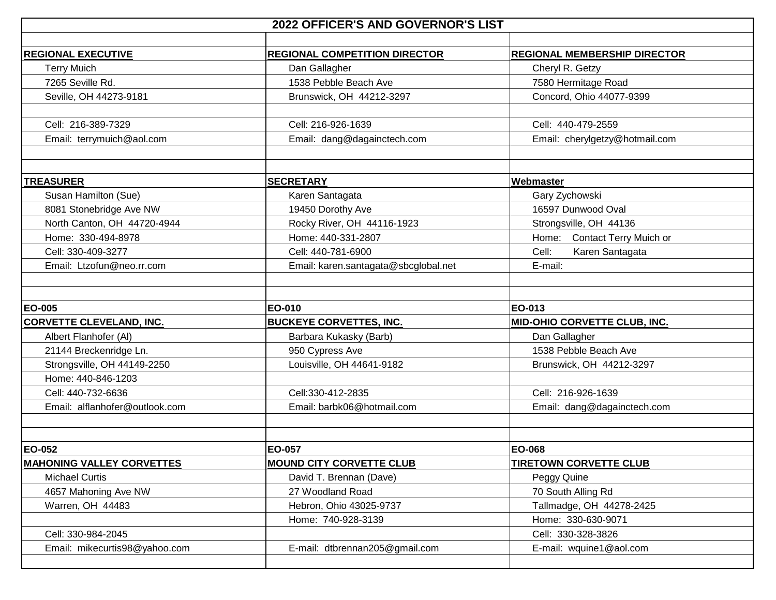| 2022 OFFICER'S AND GOVERNOR'S LIST |                                      |                                     |  |  |
|------------------------------------|--------------------------------------|-------------------------------------|--|--|
|                                    |                                      |                                     |  |  |
| <b>REGIONAL EXECUTIVE</b>          | <b>REGIONAL COMPETITION DIRECTOR</b> | <b>REGIONAL MEMBERSHIP DIRECTOR</b> |  |  |
| <b>Terry Muich</b>                 | Dan Gallagher                        | Cheryl R. Getzy                     |  |  |
| 7265 Seville Rd.                   | 1538 Pebble Beach Ave                | 7580 Hermitage Road                 |  |  |
| Seville, OH 44273-9181             | Brunswick, OH 44212-3297             | Concord, Ohio 44077-9399            |  |  |
| Cell: 216-389-7329                 | Cell: 216-926-1639                   | Cell: 440-479-2559                  |  |  |
| Email: terrymuich@aol.com          | Email: dang@dagainctech.com          | Email: cherylgetzy@hotmail.com      |  |  |
|                                    |                                      |                                     |  |  |
|                                    |                                      |                                     |  |  |
| <b>TREASURER</b>                   | <b>SECRETARY</b>                     | Webmaster                           |  |  |
| Susan Hamilton (Sue)               | Karen Santagata                      | Gary Zychowski                      |  |  |
| 8081 Stonebridge Ave NW            | 19450 Dorothy Ave                    | 16597 Dunwood Oval                  |  |  |
| North Canton, OH 44720-4944        | Rocky River, OH 44116-1923           | Strongsville, OH 44136              |  |  |
| Home: 330-494-8978                 | Home: 440-331-2807                   | Home: Contact Terry Muich or        |  |  |
| Cell: 330-409-3277                 | Cell: 440-781-6900                   | Cell:<br>Karen Santagata            |  |  |
| Email: Ltzofun@neo.rr.com          | Email: karen.santagata@sbcglobal.net | E-mail:                             |  |  |
|                                    |                                      |                                     |  |  |
|                                    |                                      |                                     |  |  |
| <b>EO-005</b>                      | EO-010                               | EO-013                              |  |  |
| <b>CORVETTE CLEVELAND, INC.</b>    | <b>BUCKEYE CORVETTES, INC.</b>       | MID-OHIO CORVETTE CLUB, INC.        |  |  |
| Albert Flanhofer (AI)              | Barbara Kukasky (Barb)               | Dan Gallagher                       |  |  |
| 21144 Breckenridge Ln.             | 950 Cypress Ave                      | 1538 Pebble Beach Ave               |  |  |
| Strongsville, OH 44149-2250        | Louisville, OH 44641-9182            | Brunswick, OH 44212-3297            |  |  |
| Home: 440-846-1203                 |                                      |                                     |  |  |
| Cell: 440-732-6636                 | Cell:330-412-2835                    | Cell: 216-926-1639                  |  |  |
| Email: alflanhofer@outlook.com     | Email: barbk06@hotmail.com           | Email: dang@dagainctech.com         |  |  |
|                                    |                                      |                                     |  |  |
|                                    |                                      |                                     |  |  |
| <b>EO-052</b>                      | EO-057                               | <b>EO-068</b>                       |  |  |
| <b>MAHONING VALLEY CORVETTES</b>   | <b>MOUND CITY CORVETTE CLUB</b>      | <b>TIRETOWN CORVETTE CLUB</b>       |  |  |
| <b>Michael Curtis</b>              | David T. Brennan (Dave)              | Peggy Quine                         |  |  |
| 4657 Mahoning Ave NW               | 27 Woodland Road                     | 70 South Alling Rd                  |  |  |
| Warren, OH 44483                   | Hebron, Ohio 43025-9737              | Tallmadge, OH 44278-2425            |  |  |
|                                    | Home: 740-928-3139                   | Home: 330-630-9071                  |  |  |
| Cell: 330-984-2045                 |                                      | Cell: 330-328-3826                  |  |  |
| Email: mikecurtis98@yahoo.com      | E-mail: dtbrennan205@gmail.com       | E-mail: wquine1@aol.com             |  |  |
|                                    |                                      |                                     |  |  |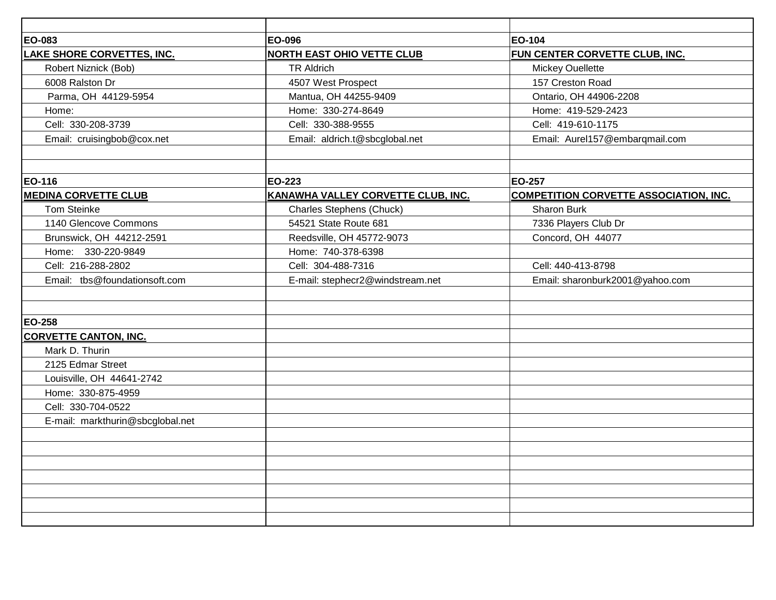| EO-083                           | EO-096                             | EO-104                                        |
|----------------------------------|------------------------------------|-----------------------------------------------|
| LAKE SHORE CORVETTES, INC.       | <b>NORTH EAST OHIO VETTE CLUB</b>  | FUN CENTER CORVETTE CLUB, INC.                |
| Robert Niznick (Bob)             | <b>TR Aldrich</b>                  | <b>Mickey Ouellette</b>                       |
| 6008 Ralston Dr                  | 4507 West Prospect                 | 157 Creston Road                              |
| Parma, OH 44129-5954             | Mantua, OH 44255-9409              | Ontario, OH 44906-2208                        |
| Home:                            | Home: 330-274-8649                 | Home: 419-529-2423                            |
| Cell: 330-208-3739               | Cell: 330-388-9555                 | Cell: 419-610-1175                            |
| Email: cruisingbob@cox.net       | Email: aldrich.t@sbcglobal.net     | Email: Aurel157@embarqmail.com                |
|                                  |                                    |                                               |
| EO-116                           | EO-223                             | <b>EO-257</b>                                 |
| <b>MEDINA CORVETTE CLUB</b>      | KANAWHA VALLEY CORVETTE CLUB, INC. | <b>COMPETITION CORVETTE ASSOCIATION, INC.</b> |
| <b>Tom Steinke</b>               | <b>Charles Stephens (Chuck)</b>    | <b>Sharon Burk</b>                            |
| 1140 Glencove Commons            | 54521 State Route 681              | 7336 Players Club Dr                          |
| Brunswick, OH 44212-2591         | Reedsville, OH 45772-9073          | Concord, OH 44077                             |
| Home: 330-220-9849               | Home: 740-378-6398                 |                                               |
| Cell: 216-288-2802               | Cell: 304-488-7316                 | Cell: 440-413-8798                            |
| Email: tbs@foundationsoft.com    | E-mail: stephecr2@windstream.net   | Email: sharonburk2001@yahoo.com               |
|                                  |                                    |                                               |
|                                  |                                    |                                               |
| EO-258                           |                                    |                                               |
| <b>CORVETTE CANTON, INC.</b>     |                                    |                                               |
| Mark D. Thurin                   |                                    |                                               |
| 2125 Edmar Street                |                                    |                                               |
| Louisville, OH 44641-2742        |                                    |                                               |
| Home: 330-875-4959               |                                    |                                               |
| Cell: 330-704-0522               |                                    |                                               |
| E-mail: markthurin@sbcglobal.net |                                    |                                               |
|                                  |                                    |                                               |
|                                  |                                    |                                               |
|                                  |                                    |                                               |
|                                  |                                    |                                               |
|                                  |                                    |                                               |
|                                  |                                    |                                               |
|                                  |                                    |                                               |